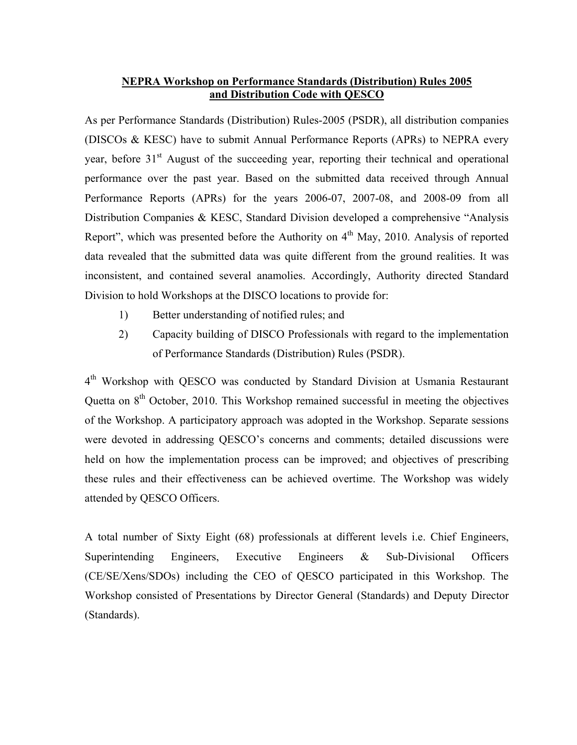## **NEPRA Workshop on Performance Standards (Distribution) Rules 2005 and Distribution Code with QESCO**

As per Performance Standards (Distribution) Rules-2005 (PSDR), all distribution companies (DISCOs & KESC) have to submit Annual Performance Reports (APRs) to NEPRA every year, before 31<sup>st</sup> August of the succeeding year, reporting their technical and operational performance over the past year. Based on the submitted data received through Annual Performance Reports (APRs) for the years 2006-07, 2007-08, and 2008-09 from all Distribution Companies & KESC, Standard Division developed a comprehensive "Analysis Report", which was presented before the Authority on  $4<sup>th</sup>$  May, 2010. Analysis of reported data revealed that the submitted data was quite different from the ground realities. It was inconsistent, and contained several anamolies. Accordingly, Authority directed Standard Division to hold Workshops at the DISCO locations to provide for:

- 1) Better understanding of notified rules; and
- 2) Capacity building of DISCO Professionals with regard to the implementation of Performance Standards (Distribution) Rules (PSDR).

 $4<sup>th</sup>$  Workshop with QESCO was conducted by Standard Division at Usmania Restaurant Quetta on  $8<sup>th</sup>$  October, 2010. This Workshop remained successful in meeting the objectives of the Workshop. A participatory approach was adopted in the Workshop. Separate sessions were devoted in addressing QESCO's concerns and comments; detailed discussions were held on how the implementation process can be improved; and objectives of prescribing these rules and their effectiveness can be achieved overtime. The Workshop was widely attended by QESCO Officers.

A total number of Sixty Eight (68) professionals at different levels i.e. Chief Engineers, Superintending Engineers, Executive Engineers & Sub-Divisional Officers (CE/SE/Xens/SDOs) including the CEO of QESCO participated in this Workshop. The Workshop consisted of Presentations by Director General (Standards) and Deputy Director (Standards).